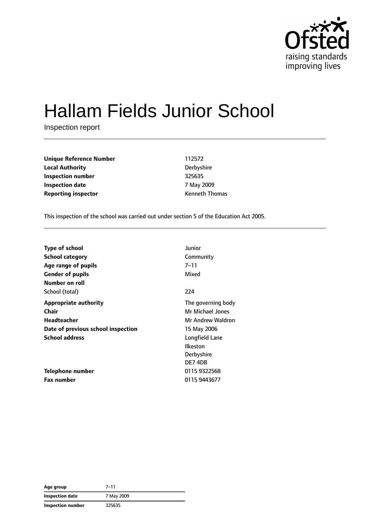

# Hallam Fields Junior School

Inspection report

**Unique Reference Number** 112572 **Local Authority** Derbyshire **Inspection number** 325635 **Inspection date** 7 May 2009 **Reporting inspector CONFIDENTIFY REPORTING THE REPORT OF A REPORT OF A REPORT OF A REPORT OF A REPORT OF A REPORT OF A REPORT OF A REPORT OF A REPORT OF A REPORT OF A REPORT OF A REPORT OF A REPORT OF A REPORT OF A REPO** 

This inspection of the school was carried out under section 5 of the Education Act 2005.

| <b>Type of school</b>              | Junior             |
|------------------------------------|--------------------|
| <b>School category</b>             | Community          |
| Age range of pupils                | 7–11               |
| <b>Gender of pupils</b>            | Mixed              |
| Number on roll                     |                    |
| School (total)                     | 224                |
| <b>Appropriate authority</b>       | The governing body |
| Chair                              | Mr Michael Jones   |
| Headteacher                        | Mr Andrew Waldron  |
| Date of previous school inspection | 15 May 2006        |
| <b>School address</b>              | Longfield Lane     |
|                                    | Ilkeston           |
|                                    | Derbyshire         |
|                                    | DE74DB             |
| Telephone number                   | 0115 9322568       |
| <b>Fax number</b>                  | 0115 9443677       |

| Age group              | $7 - 11$   |
|------------------------|------------|
| <b>Inspection date</b> | 7 May 2009 |
| Inspection number      | 325635     |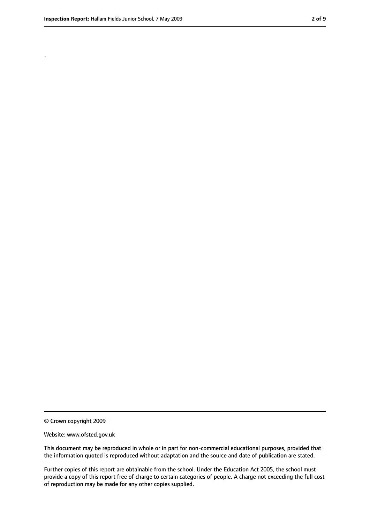.

<sup>©</sup> Crown copyright 2009

Website: www.ofsted.gov.uk

This document may be reproduced in whole or in part for non-commercial educational purposes, provided that the information quoted is reproduced without adaptation and the source and date of publication are stated.

Further copies of this report are obtainable from the school. Under the Education Act 2005, the school must provide a copy of this report free of charge to certain categories of people. A charge not exceeding the full cost of reproduction may be made for any other copies supplied.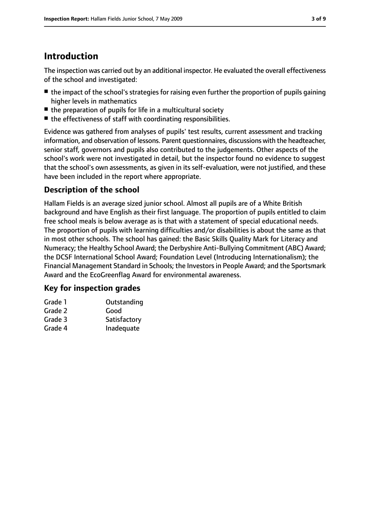# **Introduction**

The inspection was carried out by an additional inspector. He evaluated the overall effectiveness of the school and investigated:

- the impact of the school's strategies for raising even further the proportion of pupils gaining higher levels in mathematics
- the preparation of pupils for life in a multicultural society
- the effectiveness of staff with coordinating responsibilities.

Evidence was gathered from analyses of pupils' test results, current assessment and tracking information, and observation of lessons. Parent questionnaires, discussions with the headteacher, senior staff, governors and pupils also contributed to the judgements. Other aspects of the school's work were not investigated in detail, but the inspector found no evidence to suggest that the school's own assessments, as given in its self-evaluation, were not justified, and these have been included in the report where appropriate.

## **Description of the school**

Hallam Fields is an average sized junior school. Almost all pupils are of a White British background and have English as their first language. The proportion of pupils entitled to claim free school meals is below average as is that with a statement of special educational needs. The proportion of pupils with learning difficulties and/or disabilities is about the same as that in most other schools. The school has gained: the Basic Skills Quality Mark for Literacy and Numeracy; the Healthy School Award; the Derbyshire Anti-Bullying Commitment (ABC) Award; the DCSF International School Award; Foundation Level (Introducing Internationalism); the Financial Management Standard in Schools; the Investors in People Award; and the Sportsmark Award and the EcoGreenflag Award for environmental awareness.

#### **Key for inspection grades**

| Grade 1 | Outstanding  |
|---------|--------------|
| Grade 2 | Good         |
| Grade 3 | Satisfactory |
| Grade 4 | Inadequate   |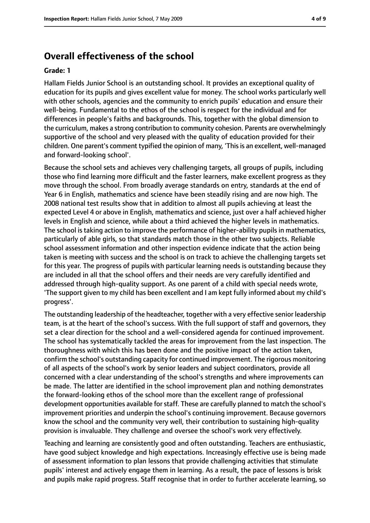## **Overall effectiveness of the school**

#### **Grade: 1**

Hallam Fields Junior School is an outstanding school. It provides an exceptional quality of education for its pupils and gives excellent value for money. The school works particularly well with other schools, agencies and the community to enrich pupils' education and ensure their well-being. Fundamental to the ethos of the school is respect for the individual and for differences in people's faiths and backgrounds. This, together with the global dimension to the curriculum, makes a strong contribution to community cohesion. Parents are overwhelmingly supportive of the school and very pleased with the quality of education provided for their children. One parent's comment typified the opinion of many, 'This is an excellent, well-managed and forward-looking school'.

Because the school sets and achieves very challenging targets, all groups of pupils, including those who find learning more difficult and the faster learners, make excellent progress as they move through the school. From broadly average standards on entry, standards at the end of Year 6 in English, mathematics and science have been steadily rising and are now high. The 2008 national test results show that in addition to almost all pupils achieving at least the expected Level 4 or above in English, mathematics and science, just over a half achieved higher levels in English and science, while about a third achieved the higher levels in mathematics. The school is taking action to improve the performance of higher-ability pupils in mathematics, particularly of able girls, so that standards match those in the other two subjects. Reliable school assessment information and other inspection evidence indicate that the action being taken is meeting with success and the school is on track to achieve the challenging targets set for this year. The progress of pupils with particular learning needs is outstanding because they are included in all that the school offers and their needs are very carefully identified and addressed through high-quality support. As one parent of a child with special needs wrote, 'The support given to my child has been excellent and I am kept fully informed about my child's progress'.

The outstanding leadership of the headteacher, together with a very effective senior leadership team, is at the heart of the school's success. With the full support of staff and governors, they set a clear direction for the school and a well-considered agenda for continued improvement. The school has systematically tackled the areas for improvement from the last inspection. The thoroughness with which this has been done and the positive impact of the action taken, confirm the school's outstanding capacity for continued improvement. The rigorous monitoring of all aspects of the school's work by senior leaders and subject coordinators, provide all concerned with a clear understanding of the school's strengths and where improvements can be made. The latter are identified in the school improvement plan and nothing demonstrates the forward-looking ethos of the school more than the excellent range of professional development opportunities available for staff. These are carefully planned to match the school's improvement priorities and underpin the school's continuing improvement. Because governors know the school and the community very well, their contribution to sustaining high-quality provision is invaluable. They challenge and oversee the school's work very effectively.

Teaching and learning are consistently good and often outstanding. Teachers are enthusiastic, have good subject knowledge and high expectations. Increasingly effective use is being made of assessment information to plan lessons that provide challenging activities that stimulate pupils' interest and actively engage them in learning. As a result, the pace of lessons is brisk and pupils make rapid progress. Staff recognise that in order to further accelerate learning, so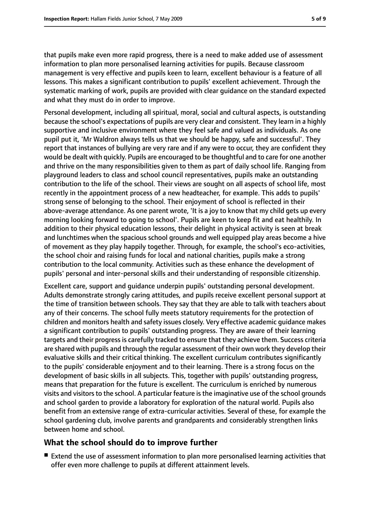that pupils make even more rapid progress, there is a need to make added use of assessment information to plan more personalised learning activities for pupils. Because classroom management is very effective and pupils keen to learn, excellent behaviour is a feature of all lessons. This makes a significant contribution to pupils' excellent achievement. Through the systematic marking of work, pupils are provided with clear guidance on the standard expected and what they must do in order to improve.

Personal development, including all spiritual, moral, social and cultural aspects, is outstanding because the school's expectations of pupils are very clear and consistent. They learn in a highly supportive and inclusive environment where they feel safe and valued as individuals. As one pupil put it, 'Mr Waldron always tells us that we should be happy, safe and successful'. They report that instances of bullying are very rare and if any were to occur, they are confident they would be dealt with quickly. Pupils are encouraged to be thoughtful and to care for one another and thrive on the many responsibilities given to them as part of daily school life. Ranging from playground leaders to class and school council representatives, pupils make an outstanding contribution to the life of the school. Their views are sought on all aspects of school life, most recently in the appointment process of a new headteacher, for example. This adds to pupils' strong sense of belonging to the school. Their enjoyment of school is reflected in their above-average attendance. As one parent wrote, 'It is a joy to know that my child gets up every morning looking forward to going to school'. Pupils are keen to keep fit and eat healthily. In addition to their physical education lessons, their delight in physical activity is seen at break and lunchtimes when the spacious school grounds and well equipped play areas become a hive of movement as they play happily together. Through, for example, the school's eco-activities, the school choir and raising funds for local and national charities, pupils make a strong contribution to the local community. Activities such as these enhance the development of pupils' personal and inter-personal skills and their understanding of responsible citizenship.

Excellent care, support and guidance underpin pupils' outstanding personal development. Adults demonstrate strongly caring attitudes, and pupils receive excellent personal support at the time of transition between schools. They say that they are able to talk with teachers about any of their concerns. The school fully meets statutory requirements for the protection of children and monitors health and safety issues closely. Very effective academic guidance makes a significant contribution to pupils' outstanding progress. They are aware of their learning targets and their progress is carefully tracked to ensure that they achieve them. Success criteria are shared with pupils and through the regular assessment of their own work they develop their evaluative skills and their critical thinking. The excellent curriculum contributes significantly to the pupils' considerable enjoyment and to their learning. There is a strong focus on the development of basic skills in all subjects. This, together with pupils' outstanding progress, means that preparation for the future is excellent. The curriculum is enriched by numerous visits and visitors to the school. A particular feature is the imaginative use of the school grounds and school garden to provide a laboratory for exploration of the natural world. Pupils also benefit from an extensive range of extra-curricular activities. Several of these, for example the school gardening club, involve parents and grandparents and considerably strengthen links between home and school.

#### **What the school should do to improve further**

■ Extend the use of assessment information to plan more personalised learning activities that offer even more challenge to pupils at different attainment levels.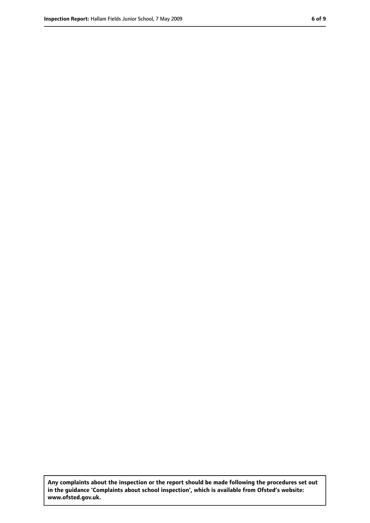**Any complaints about the inspection or the report should be made following the procedures set out in the guidance 'Complaints about school inspection', which is available from Ofsted's website: www.ofsted.gov.uk.**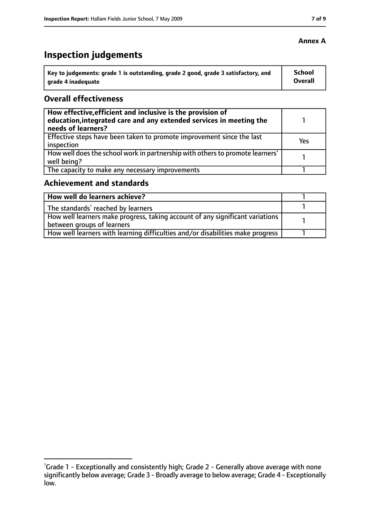# **Inspection judgements**

| Key to judgements: grade 1 is outstanding, grade 2 good, grade 3 satisfactory, and | <b>School</b>  |
|------------------------------------------------------------------------------------|----------------|
| arade 4 inadequate                                                                 | <b>Overall</b> |

#### **Overall effectiveness**

| How effective, efficient and inclusive is the provision of<br>education, integrated care and any extended services in meeting the<br>needs of learners? |     |
|---------------------------------------------------------------------------------------------------------------------------------------------------------|-----|
| Effective steps have been taken to promote improvement since the last<br>inspection                                                                     | Yes |
| How well does the school work in partnership with others to promote learners'<br>well being?                                                            |     |
| The capacity to make any necessary improvements                                                                                                         |     |

## **Achievement and standards**

| How well do learners achieve?                                                  |  |
|--------------------------------------------------------------------------------|--|
| The standards <sup>1</sup> reached by learners                                 |  |
| How well learners make progress, taking account of any significant variations  |  |
| between groups of learners                                                     |  |
| How well learners with learning difficulties and/or disabilities make progress |  |

#### **Annex A**

<sup>&</sup>lt;sup>1</sup>Grade 1 - Exceptionally and consistently high; Grade 2 - Generally above average with none significantly below average; Grade 3 - Broadly average to below average; Grade 4 - Exceptionally low.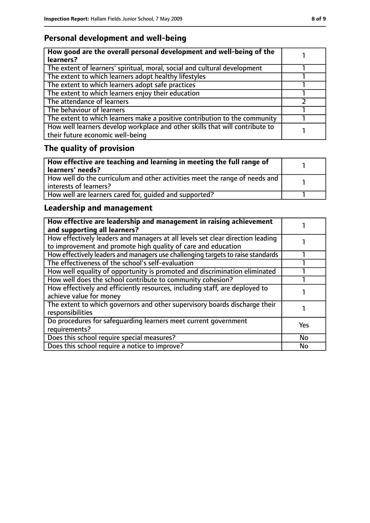# **Personal development and well-being**

| How good are the overall personal development and well-being of the<br>learners?                                 |  |
|------------------------------------------------------------------------------------------------------------------|--|
| The extent of learners' spiritual, moral, social and cultural development                                        |  |
| The extent to which learners adopt healthy lifestyles                                                            |  |
| The extent to which learners adopt safe practices                                                                |  |
| The extent to which learners enjoy their education                                                               |  |
| The attendance of learners                                                                                       |  |
| The behaviour of learners                                                                                        |  |
| The extent to which learners make a positive contribution to the community                                       |  |
| How well learners develop workplace and other skills that will contribute to<br>their future economic well-being |  |

# **The quality of provision**

| How effective are teaching and learning in meeting the full range of<br>learners' needs?              |  |
|-------------------------------------------------------------------------------------------------------|--|
| How well do the curriculum and other activities meet the range of needs and<br>interests of learners? |  |
| How well are learners cared for, quided and supported?                                                |  |

# **Leadership and management**

| How effective are leadership and management in raising achievement<br>and supporting all learners?                                              |     |
|-------------------------------------------------------------------------------------------------------------------------------------------------|-----|
| How effectively leaders and managers at all levels set clear direction leading<br>to improvement and promote high quality of care and education |     |
| How effectively leaders and managers use challenging targets to raise standards                                                                 |     |
| The effectiveness of the school's self-evaluation                                                                                               |     |
| How well equality of opportunity is promoted and discrimination eliminated                                                                      |     |
| How well does the school contribute to community cohesion?                                                                                      |     |
| How effectively and efficiently resources, including staff, are deployed to<br>achieve value for money                                          |     |
| The extent to which governors and other supervisory boards discharge their<br>responsibilities                                                  |     |
| Do procedures for safequarding learners meet current government<br>requirements?                                                                | Yes |
| Does this school require special measures?                                                                                                      | No  |
| Does this school require a notice to improve?                                                                                                   | No  |